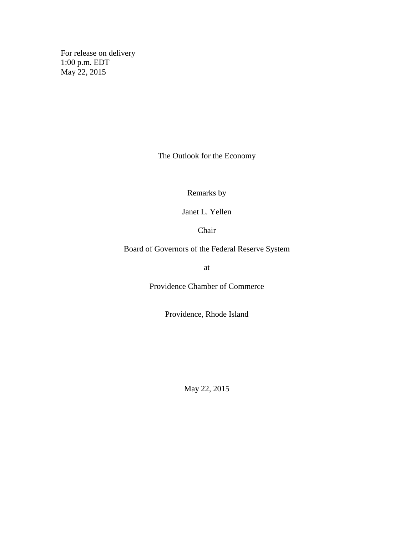For release on delivery 1:00 p.m. EDT May 22, 2015

The Outlook for the Economy

Remarks by

Janet L. Yellen

Chair

Board of Governors of the Federal Reserve System

at

Providence Chamber of Commerce

Providence, Rhode Island

May 22, 2015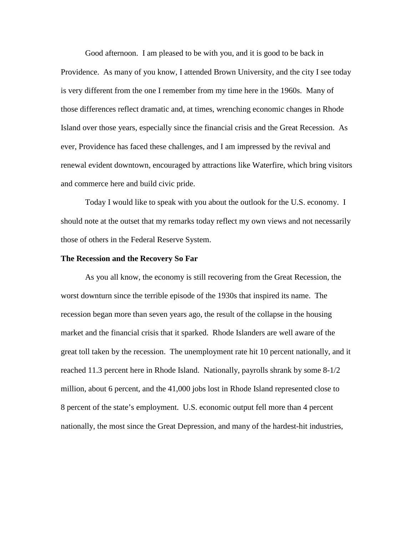Good afternoon. I am pleased to be with you, and it is good to be back in Providence. As many of you know, I attended Brown University, and the city I see today is very different from the one I remember from my time here in the 1960s. Many of those differences reflect dramatic and, at times, wrenching economic changes in Rhode Island over those years, especially since the financial crisis and the Great Recession. As ever, Providence has faced these challenges, and I am impressed by the revival and renewal evident downtown, encouraged by attractions like Waterfire, which bring visitors and commerce here and build civic pride.

Today I would like to speak with you about the outlook for the U.S. economy. I should note at the outset that my remarks today reflect my own views and not necessarily those of others in the Federal Reserve System.

## **The Recession and the Recovery So Far**

As you all know, the economy is still recovering from the Great Recession, the worst downturn since the terrible episode of the 1930s that inspired its name. The recession began more than seven years ago, the result of the collapse in the housing market and the financial crisis that it sparked. Rhode Islanders are well aware of the great toll taken by the recession. The unemployment rate hit 10 percent nationally, and it reached 11.3 percent here in Rhode Island. Nationally, payrolls shrank by some 8-1/2 million, about 6 percent, and the 41,000 jobs lost in Rhode Island represented close to 8 percent of the state's employment. U.S. economic output fell more than 4 percent nationally, the most since the Great Depression, and many of the hardest-hit industries,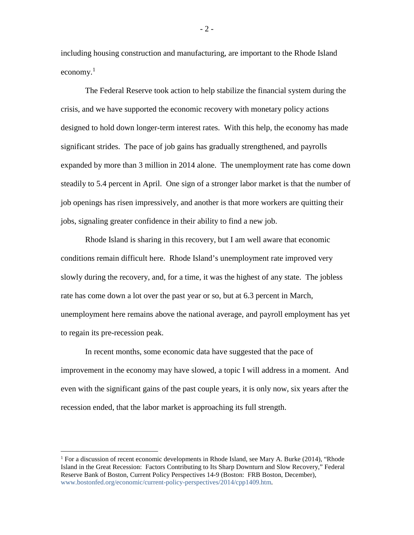including housing construction and manufacturing, are important to the Rhode Island economy. $1$ 

The Federal Reserve took action to help stabilize the financial system during the crisis, and we have supported the economic recovery with monetary policy actions designed to hold down longer-term interest rates. With this help, the economy has made significant strides. The pace of job gains has gradually strengthened, and payrolls expanded by more than 3 million in 2014 alone. The unemployment rate has come down steadily to 5.4 percent in April. One sign of a stronger labor market is that the number of job openings has risen impressively, and another is that more workers are quitting their jobs, signaling greater confidence in their ability to find a new job.

Rhode Island is sharing in this recovery, but I am well aware that economic conditions remain difficult here. Rhode Island's unemployment rate improved very slowly during the recovery, and, for a time, it was the highest of any state. The jobless rate has come down a lot over the past year or so, but at 6.3 percent in March, unemployment here remains above the national average, and payroll employment has yet to regain its pre-recession peak.

In recent months, some economic data have suggested that the pace of improvement in the economy may have slowed, a topic I will address in a moment. And even with the significant gains of the past couple years, it is only now, six years after the recession ended, that the labor market is approaching its full strength.

 $\overline{a}$ 

 $-2-$ 

<sup>&</sup>lt;sup>1</sup> For a discussion of recent economic developments in Rhode Island, see Mary A. Burke (2014), "Rhode Island in the Great Recession: Factors Contributing to Its Sharp Downturn and Slow Recovery," Federal Reserve Bank of Boston, Current Policy Perspectives 14-9 (Boston: FRB Boston, December), [www.bostonfed.org/economic/current-policy-perspectives/2014/cpp1409.htm.](http://www.bostonfed.org/economic/current-policy-perspectives/2014/cpp1409.htm)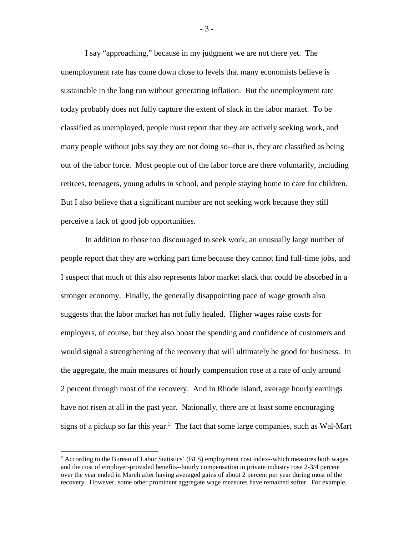I say "approaching," because in my judgment we are not there yet. The unemployment rate has come down close to levels that many economists believe is sustainable in the long run without generating inflation. But the unemployment rate today probably does not fully capture the extent of slack in the labor market. To be classified as unemployed, people must report that they are actively seeking work, and many people without jobs say they are not doing so--that is, they are classified as being out of the labor force. Most people out of the labor force are there voluntarily, including retirees, teenagers, young adults in school, and people staying home to care for children. But I also believe that a significant number are not seeking work because they still perceive a lack of good job opportunities.

In addition to those too discouraged to seek work, an unusually large number of people report that they are working part time because they cannot find full-time jobs, and I suspect that much of this also represents labor market slack that could be absorbed in a stronger economy. Finally, the generally disappointing pace of wage growth also suggests that the labor market has not fully healed. Higher wages raise costs for employers, of course, but they also boost the spending and confidence of customers and would signal a strengthening of the recovery that will ultimately be good for business. In the aggregate, the main measures of hourly compensation rose at a rate of only around 2 percent through most of the recovery. And in Rhode Island, average hourly earnings have not risen at all in the past year. Nationally, there are at least some encouraging signs of a pickup so far this year.<sup>2</sup> The fact that some large companies, such as Wal-Mart

 $\overline{a}$ 

- 3 -

<sup>2</sup> According to the Bureau of Labor Statistics' (BLS) employment cost index--which measures both wages and the cost of employer-provided benefits--hourly compensation in private industry rose 2-3/4 percent over the year ended in March after having averaged gains of about 2 percent per year during most of the recovery. However, some other prominent aggregate wage measures have remained softer. For example,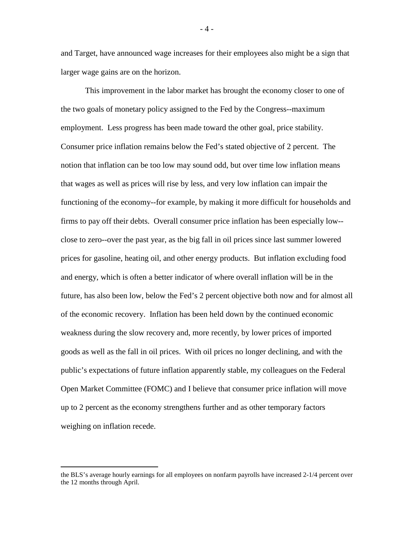and Target, have announced wage increases for their employees also might be a sign that larger wage gains are on the horizon.

This improvement in the labor market has brought the economy closer to one of the two goals of monetary policy assigned to the Fed by the Congress--maximum employment. Less progress has been made toward the other goal, price stability. Consumer price inflation remains below the Fed's stated objective of 2 percent. The notion that inflation can be too low may sound odd, but over time low inflation means that wages as well as prices will rise by less, and very low inflation can impair the functioning of the economy--for example, by making it more difficult for households and firms to pay off their debts. Overall consumer price inflation has been especially low- close to zero--over the past year, as the big fall in oil prices since last summer lowered prices for gasoline, heating oil, and other energy products. But inflation excluding food and energy, which is often a better indicator of where overall inflation will be in the future, has also been low, below the Fed's 2 percent objective both now and for almost all of the economic recovery. Inflation has been held down by the continued economic weakness during the slow recovery and, more recently, by lower prices of imported goods as well as the fall in oil prices. With oil prices no longer declining, and with the public's expectations of future inflation apparently stable, my colleagues on the Federal Open Market Committee (FOMC) and I believe that consumer price inflation will move up to 2 percent as the economy strengthens further and as other temporary factors weighing on inflation recede.

 $\overline{a}$ 

- 4 -

the BLS's average hourly earnings for all employees on nonfarm payrolls have increased 2-1/4 percent over the 12 months through April.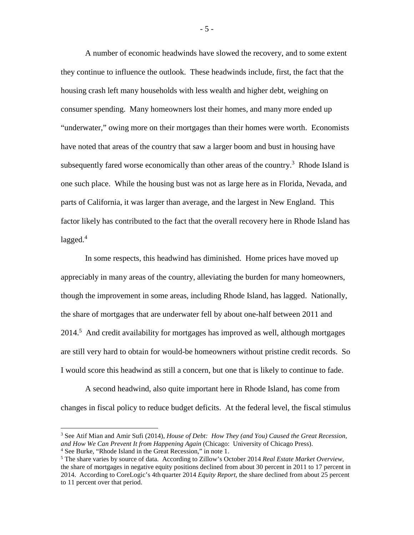A number of economic headwinds have slowed the recovery, and to some extent they continue to influence the outlook. These headwinds include, first, the fact that the housing crash left many households with less wealth and higher debt, weighing on consumer spending. Many homeowners lost their homes, and many more ended up "underwater," owing more on their mortgages than their homes were worth. Economists have noted that areas of the country that saw a larger boom and bust in housing have subsequently fared worse economically than other areas of the country.<sup>3</sup> Rhode Island is one such place. While the housing bust was not as large here as in Florida, Nevada, and parts of California, it was larger than average, and the largest in New England. This factor likely has contributed to the fact that the overall recovery here in Rhode Island has  $lagged.<sup>4</sup>$ 

In some respects, this headwind has diminished. Home prices have moved up appreciably in many areas of the country, alleviating the burden for many homeowners, though the improvement in some areas, including Rhode Island, has lagged. Nationally, the share of mortgages that are underwater fell by about one-half between 2011 and 2014.<sup>5</sup> And credit availability for mortgages has improved as well, although mortgages are still very hard to obtain for would-be homeowners without pristine credit records. So I would score this headwind as still a concern, but one that is likely to continue to fade.

A second headwind, also quite important here in Rhode Island, has come from changes in fiscal policy to reduce budget deficits. At the federal level, the fiscal stimulus

 $\overline{a}$ 

- 5 -

<sup>3</sup> See Atif Mian and Amir Sufi (2014), *House of Debt: How They (and You) Caused the Great Recession, and How We Can Prevent It from Happening Again* (Chicago: University of Chicago Press). <sup>4</sup> See Burke, "Rhode Island in the Great Recession," in note 1.

<sup>5</sup> The share varies by source of data. According to Zillow's October 2014 *Real Estate Market Overview,* the share of mortgages in negative equity positions declined from about 30 percent in 2011 to 17 percent in 2014. According to CoreLogic's 4th quarter 2014 *Equity Report,* the share declined from about 25 percent to 11 percent over that period.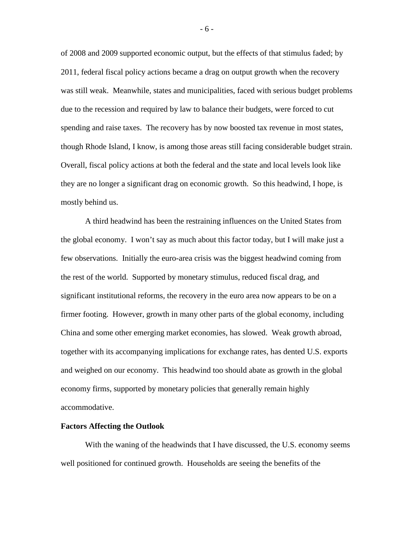of 2008 and 2009 supported economic output, but the effects of that stimulus faded; by 2011, federal fiscal policy actions became a drag on output growth when the recovery was still weak. Meanwhile, states and municipalities, faced with serious budget problems due to the recession and required by law to balance their budgets, were forced to cut spending and raise taxes. The recovery has by now boosted tax revenue in most states, though Rhode Island, I know, is among those areas still facing considerable budget strain. Overall, fiscal policy actions at both the federal and the state and local levels look like they are no longer a significant drag on economic growth. So this headwind, I hope, is mostly behind us.

A third headwind has been the restraining influences on the United States from the global economy. I won't say as much about this factor today, but I will make just a few observations. Initially the euro-area crisis was the biggest headwind coming from the rest of the world. Supported by monetary stimulus, reduced fiscal drag, and significant institutional reforms, the recovery in the euro area now appears to be on a firmer footing. However, growth in many other parts of the global economy, including China and some other emerging market economies, has slowed. Weak growth abroad, together with its accompanying implications for exchange rates, has dented U.S. exports and weighed on our economy. This headwind too should abate as growth in the global economy firms, supported by monetary policies that generally remain highly accommodative.

## **Factors Affecting the Outlook**

With the waning of the headwinds that I have discussed, the U.S. economy seems well positioned for continued growth. Households are seeing the benefits of the

- 6 -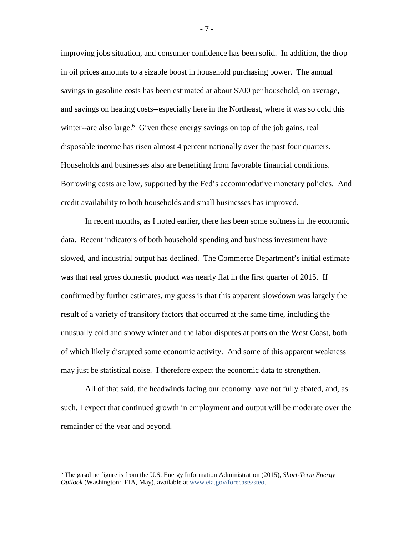improving jobs situation, and consumer confidence has been solid. In addition, the drop in oil prices amounts to a sizable boost in household purchasing power. The annual savings in gasoline costs has been estimated at about \$700 per household, on average, and savings on heating costs--especially here in the Northeast, where it was so cold this winter--are also large.<sup>6</sup> Given these energy savings on top of the job gains, real disposable income has risen almost 4 percent nationally over the past four quarters. Households and businesses also are benefiting from favorable financial conditions. Borrowing costs are low, supported by the Fed's accommodative monetary policies. And credit availability to both households and small businesses has improved.

In recent months, as I noted earlier, there has been some softness in the economic data. Recent indicators of both household spending and business investment have slowed, and industrial output has declined. The Commerce Department's initial estimate was that real gross domestic product was nearly flat in the first quarter of 2015. If confirmed by further estimates, my guess is that this apparent slowdown was largely the result of a variety of transitory factors that occurred at the same time, including the unusually cold and snowy winter and the labor disputes at ports on the West Coast, both of which likely disrupted some economic activity. And some of this apparent weakness may just be statistical noise. I therefore expect the economic data to strengthen.

All of that said, the headwinds facing our economy have not fully abated, and, as such, I expect that continued growth in employment and output will be moderate over the remainder of the year and beyond.

 $\overline{a}$ 

- 7 -

<sup>6</sup> The gasoline figure is from the U.S. Energy Information Administration (2015), *Short-Term Energy Outlook* (Washington: EIA, May), available at [www.eia.gov/forecasts/steo.](http://www.eia.gov/forecasts/steo)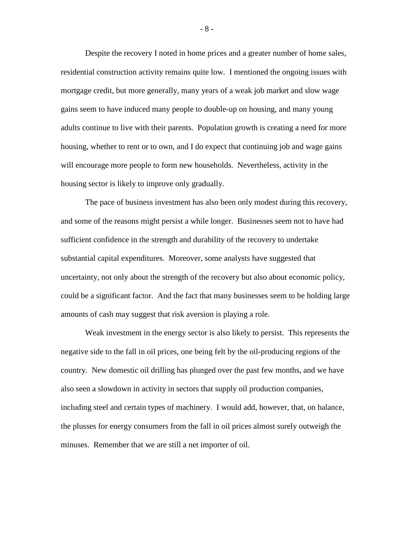Despite the recovery I noted in home prices and a greater number of home sales, residential construction activity remains quite low. I mentioned the ongoing issues with mortgage credit, but more generally, many years of a weak job market and slow wage gains seem to have induced many people to double-up on housing, and many young adults continue to live with their parents. Population growth is creating a need for more housing, whether to rent or to own, and I do expect that continuing job and wage gains will encourage more people to form new households. Nevertheless, activity in the housing sector is likely to improve only gradually.

The pace of business investment has also been only modest during this recovery, and some of the reasons might persist a while longer. Businesses seem not to have had sufficient confidence in the strength and durability of the recovery to undertake substantial capital expenditures. Moreover, some analysts have suggested that uncertainty, not only about the strength of the recovery but also about economic policy, could be a significant factor. And the fact that many businesses seem to be holding large amounts of cash may suggest that risk aversion is playing a role.

Weak investment in the energy sector is also likely to persist. This represents the negative side to the fall in oil prices, one being felt by the oil-producing regions of the country. New domestic oil drilling has plunged over the past few months, and we have also seen a slowdown in activity in sectors that supply oil production companies, including steel and certain types of machinery. I would add, however, that, on balance, the plusses for energy consumers from the fall in oil prices almost surely outweigh the minuses. Remember that we are still a net importer of oil.

- 8 -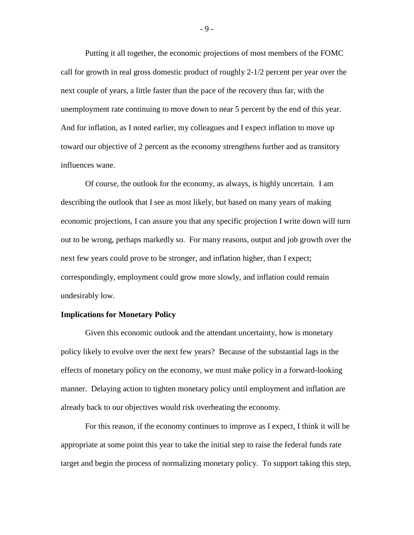Putting it all together, the economic projections of most members of the FOMC call for growth in real gross domestic product of roughly 2-1/2 percent per year over the next couple of years, a little faster than the pace of the recovery thus far, with the unemployment rate continuing to move down to near 5 percent by the end of this year. And for inflation, as I noted earlier, my colleagues and I expect inflation to move up toward our objective of 2 percent as the economy strengthens further and as transitory influences wane.

Of course, the outlook for the economy, as always, is highly uncertain. I am describing the outlook that I see as most likely, but based on many years of making economic projections, I can assure you that any specific projection I write down will turn out to be wrong, perhaps markedly so. For many reasons, output and job growth over the next few years could prove to be stronger, and inflation higher, than I expect; correspondingly, employment could grow more slowly, and inflation could remain undesirably low.

## **Implications for Monetary Policy**

Given this economic outlook and the attendant uncertainty, how is monetary policy likely to evolve over the next few years? Because of the substantial lags in the effects of monetary policy on the economy, we must make policy in a forward-looking manner. Delaying action to tighten monetary policy until employment and inflation are already back to our objectives would risk overheating the economy.

For this reason, if the economy continues to improve as I expect, I think it will be appropriate at some point this year to take the initial step to raise the federal funds rate target and begin the process of normalizing monetary policy. To support taking this step,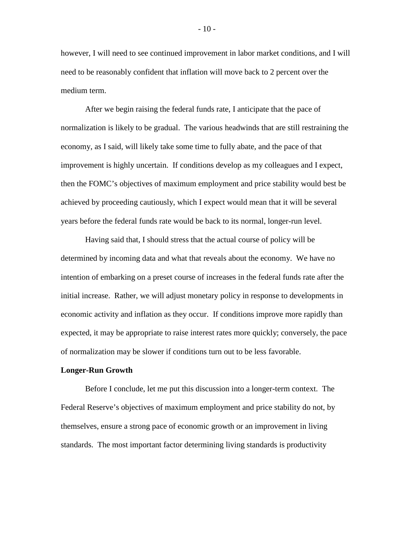however, I will need to see continued improvement in labor market conditions, and I will need to be reasonably confident that inflation will move back to 2 percent over the medium term.

After we begin raising the federal funds rate, I anticipate that the pace of normalization is likely to be gradual. The various headwinds that are still restraining the economy, as I said, will likely take some time to fully abate, and the pace of that improvement is highly uncertain. If conditions develop as my colleagues and I expect, then the FOMC's objectives of maximum employment and price stability would best be achieved by proceeding cautiously, which I expect would mean that it will be several years before the federal funds rate would be back to its normal, longer-run level.

Having said that, I should stress that the actual course of policy will be determined by incoming data and what that reveals about the economy. We have no intention of embarking on a preset course of increases in the federal funds rate after the initial increase. Rather, we will adjust monetary policy in response to developments in economic activity and inflation as they occur. If conditions improve more rapidly than expected, it may be appropriate to raise interest rates more quickly; conversely, the pace of normalization may be slower if conditions turn out to be less favorable.

## **Longer-Run Growth**

Before I conclude, let me put this discussion into a longer-term context. The Federal Reserve's objectives of maximum employment and price stability do not, by themselves, ensure a strong pace of economic growth or an improvement in living standards. The most important factor determining living standards is productivity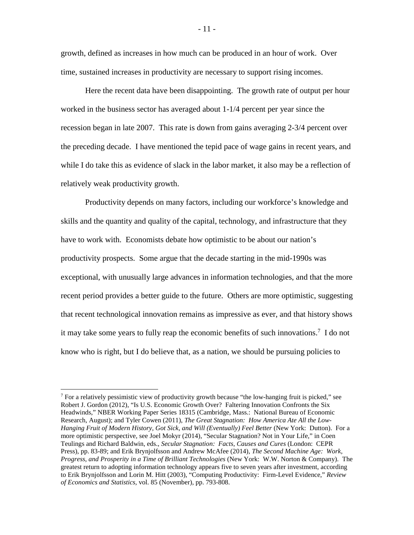growth, defined as increases in how much can be produced in an hour of work. Over time, sustained increases in productivity are necessary to support rising incomes.

Here the recent data have been disappointing. The growth rate of output per hour worked in the business sector has averaged about 1-1/4 percent per year since the recession began in late 2007. This rate is down from gains averaging 2-3/4 percent over the preceding decade. I have mentioned the tepid pace of wage gains in recent years, and while I do take this as evidence of slack in the labor market, it also may be a reflection of relatively weak productivity growth.

Productivity depends on many factors, including our workforce's knowledge and skills and the quantity and quality of the capital, technology, and infrastructure that they have to work with. Economists debate how optimistic to be about our nation's productivity prospects. Some argue that the decade starting in the mid-1990s was exceptional, with unusually large advances in information technologies, and that the more recent period provides a better guide to the future. Others are more optimistic, suggesting that recent technological innovation remains as impressive as ever, and that history shows it may take some years to fully reap the economic benefits of such innovations.<sup>7</sup> I do not know who is right, but I do believe that, as a nation, we should be pursuing policies to

 $\overline{a}$ 

 $<sup>7</sup>$  For a relatively pessimistic view of productivity growth because "the low-hanging fruit is picked," see</sup> Robert J. Gordon (2012), "Is U.S. Economic Growth Over? Faltering Innovation Confronts the Six Headwinds," NBER Working Paper Series 18315 (Cambridge, Mass.: National Bureau of Economic Research, August); and Tyler Cowen (2011), *The Great Stagnation: How America Ate All the Low-Hanging Fruit of Modern History, Got Sick, and Will (Eventually) Feel Better* (New York: Dutton). For a more optimistic perspective, see Joel Mokyr (2014), "Secular Stagnation? Not in Your Life," in Coen Teulings and Richard Baldwin, eds., *Secular Stagnation: Facts, Causes and Cures* (London: CEPR Press), pp. 83-89; and Erik Brynjolfsson and Andrew McAfee (2014), *The Second Machine Age: Work, Progress, and Prosperity in a Time of Brilliant Technologies* (New York: W.W. Norton & Company). The greatest return to adopting information technology appears five to seven years after investment, according to Erik Brynjolfsson and Lorin M. Hitt (2003), "Computing Productivity: Firm-Level Evidence," *Review of Economics and Statistics,* vol. 85 (November), pp. 793-808.